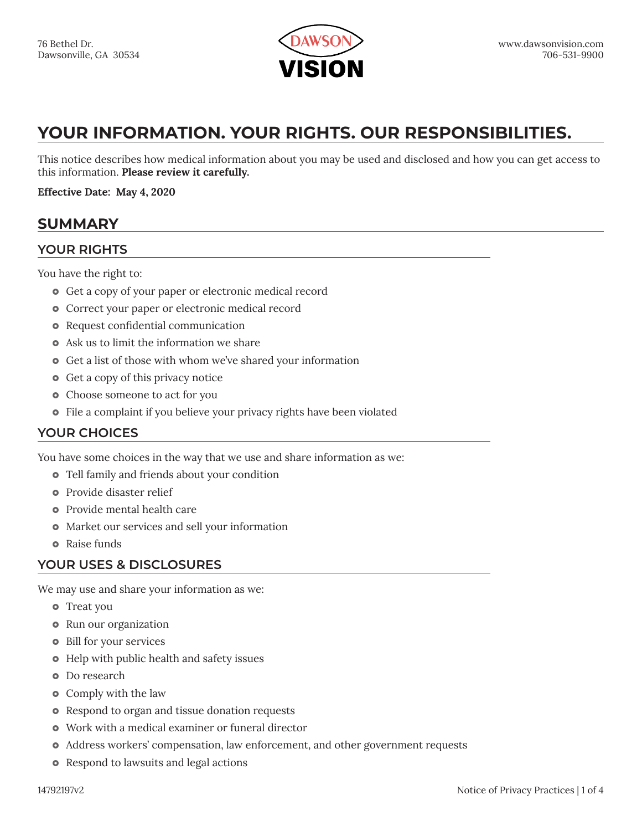

# **YOUR INFORMATION. YOUR RIGHTS. OUR RESPONSIBILITIES.**

This notice describes how medical information about you may be used and disclosed and how you can get access to this information. **Please review it carefully.**

### **Effective Date: May 4, 2020**

## **SUMMARY**

### **YOUR RIGHTS**

You have the right to:

- **•** Get a copy of your paper or electronic medical record
- Correct your paper or electronic medical record
- Request confidential communication
- Ask us to limit the information we share
- **•** Get a list of those with whom we've shared your information
- Get a copy of this privacy notice
- Choose someone to act for you
- File a complaint if you believe your privacy rights have been violated

## **YOUR CHOICES**

You have some choices in the way that we use and share information as we:

- Tell family and friends about your condition
- Provide disaster relief
- Provide mental health care
- Market our services and sell your information
- **•** Raise funds

### **YOUR USES & DISCLOSURES**

We may use and share your information as we:

- **•** Treat you
- **•** Run our organization
- Bill for your services
- Help with public health and safety issues
- **•** Do research
- Comply with the law
- Respond to organ and tissue donation requests
- Work with a medical examiner or funeral director
- Address workers' compensation, law enforcement, and other government requests
- Respond to lawsuits and legal actions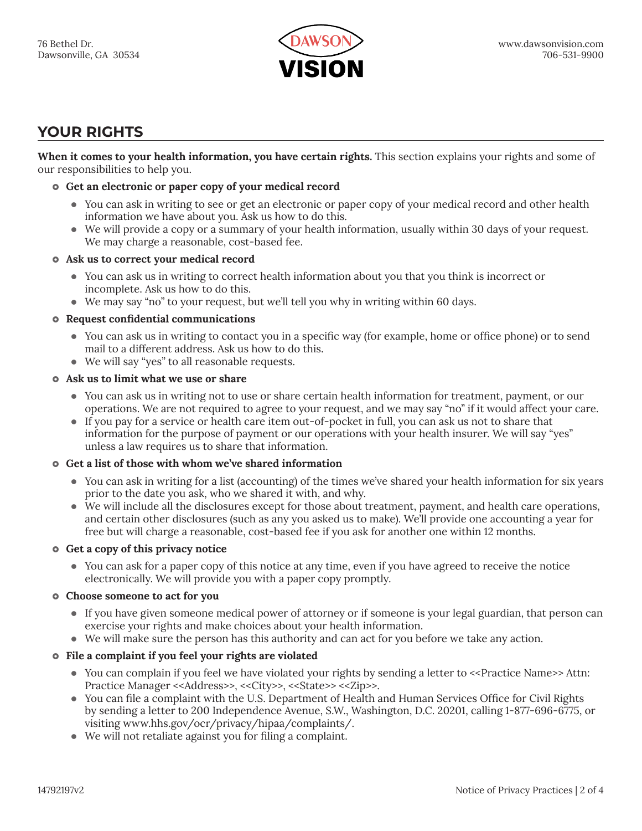

# **YOUR RIGHTS**

**When it comes to your health information, you have certain rights.** This section explains your rights and some of our responsibilities to help you.

### } **Get an electronic or paper copy of your medical record**

- You can ask in writing to see or get an electronic or paper copy of your medical record and other health information we have about you. Ask us how to do this.
- We will provide a copy or a summary of your health information, usually within 30 days of your request. We may charge a reasonable, cost-based fee.

### } **Ask us to correct your medical record**

- You can ask us in writing to correct health information about you that you think is incorrect or incomplete. Ask us how to do this.
- $\bullet$  We may say "no" to your request, but we'll tell you why in writing within 60 days.

### } **Request confidential communications**

- You can ask us in writing to contact you in a specific way (for example, home or office phone) or to send mail to a different address. Ask us how to do this.
- We will say "yes" to all reasonable requests.

### } **Ask us to limit what we use or share**

- You can ask us in writing not to use or share certain health information for treatment, payment, or our operations. We are not required to agree to your request, and we may say "no" if it would affect your care.
- If you pay for a service or health care item out-of-pocket in full, you can ask us not to share that information for the purpose of payment or our operations with your health insurer. We will say "yes" unless a law requires us to share that information.

### } **Get a list of those with whom we've shared information**

- You can ask in writing for a list (accounting) of the times we've shared your health information for six years prior to the date you ask, who we shared it with, and why.
- $\bullet$  We will include all the disclosures except for those about treatment, payment, and health care operations, and certain other disclosures (such as any you asked us to make). We'll provide one accounting a year for free but will charge a reasonable, cost-based fee if you ask for another one within 12 months.

### } **Get a copy of this privacy notice**

• You can ask for a paper copy of this notice at any time, even if you have agreed to receive the notice electronically. We will provide you with a paper copy promptly.

### } **Choose someone to act for you**

- If you have given someone medical power of attorney or if someone is your legal guardian, that person can exercise your rights and make choices about your health information.
- $\bullet$  We will make sure the person has this authority and can act for you before we take any action.

### } **File a complaint if you feel your rights are violated**

- You can complain if you feel we have violated your rights by sending a letter to  $\leq$ Practice Name>> Attn: Practice Manager <<Address>>, <<City>>, <<State>> <<Zip>>.
- You can file a complaint with the U.S. Department of Health and Human Services Office for Civil Rights by sending a letter to 200 Independence Avenue, S.W., Washington, D.C. 20201, calling 1-877-696-6775, or visiting www.hhs.gov/ocr/privacy/hipaa/complaints/.
- We will not retaliate against you for filing a complaint.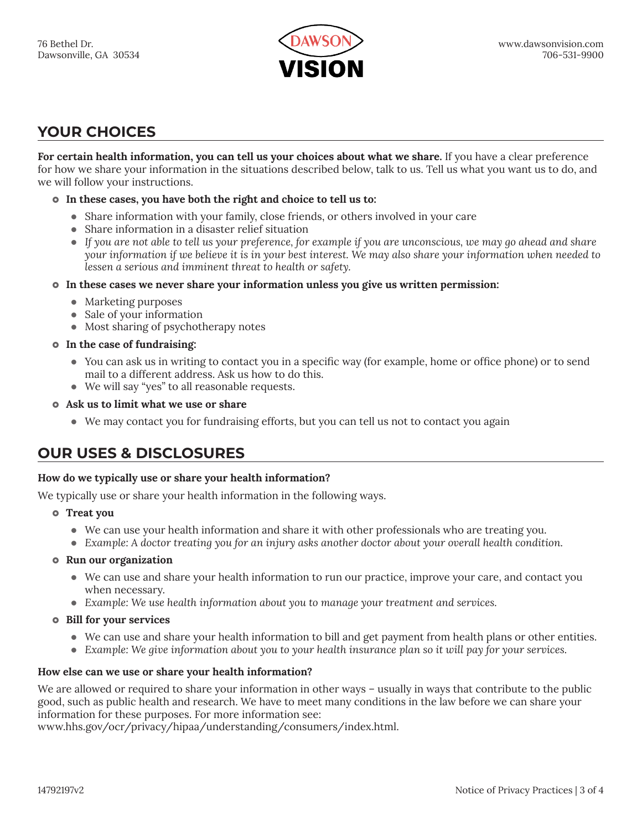

# **YOUR CHOICES**

**For certain health information, you can tell us your choices about what we share.** If you have a clear preference for how we share your information in the situations described below, talk to us. Tell us what you want us to do, and we will follow your instructions.

### } **In these cases, you have both the right and choice to tell us to:**

- Share information with your family, close friends, or others involved in your care
- Share information in a disaster relief situation
- z *If you are not able to tell us your preference, for example if you are unconscious, we may go ahead and share your information if we believe it is in your best interest. We may also share your information when needed to lessen a serious and imminent threat to health or safety.*
- } **In these cases we never share your information unless you give us written permission:**
	- Marketing purposes
	- Sale of your information
	- Most sharing of psychotherapy notes

### } **In the case of fundraising:**

- You can ask us in writing to contact you in a specific way (for example, home or office phone) or to send mail to a different address. Ask us how to do this.
- We will say "yes" to all reasonable requests.
- } **Ask us to limit what we use or share**
	- We may contact you for fundraising efforts, but you can tell us not to contact you again

# **OUR USES & DISCLOSURES**

### **How do we typically use or share your health information?**

We typically use or share your health information in the following ways.

- } **Treat you**
	- $\bullet$  We can use your health information and share it with other professionals who are treating you.
	- **Example:** A doctor treating you for an injury asks another doctor about your overall health condition.
- $\circ$  Run our organization
	- We can use and share your health information to run our practice, improve your care, and contact you when necessary.
	- **Example:** We use health information about you to manage your treatment and services.

### } **Bill for your services**

- We can use and share your health information to bill and get payment from health plans or other entities.
- **Example:** We give information about you to your health insurance plan so it will pay for your services.

### **How else can we use or share your health information?**

We are allowed or required to share your information in other ways – usually in ways that contribute to the public good, such as public health and research. We have to meet many conditions in the law before we can share your information for these purposes. For more information see:

www.hhs.gov/ocr/privacy/hipaa/understanding/consumers/index.html.